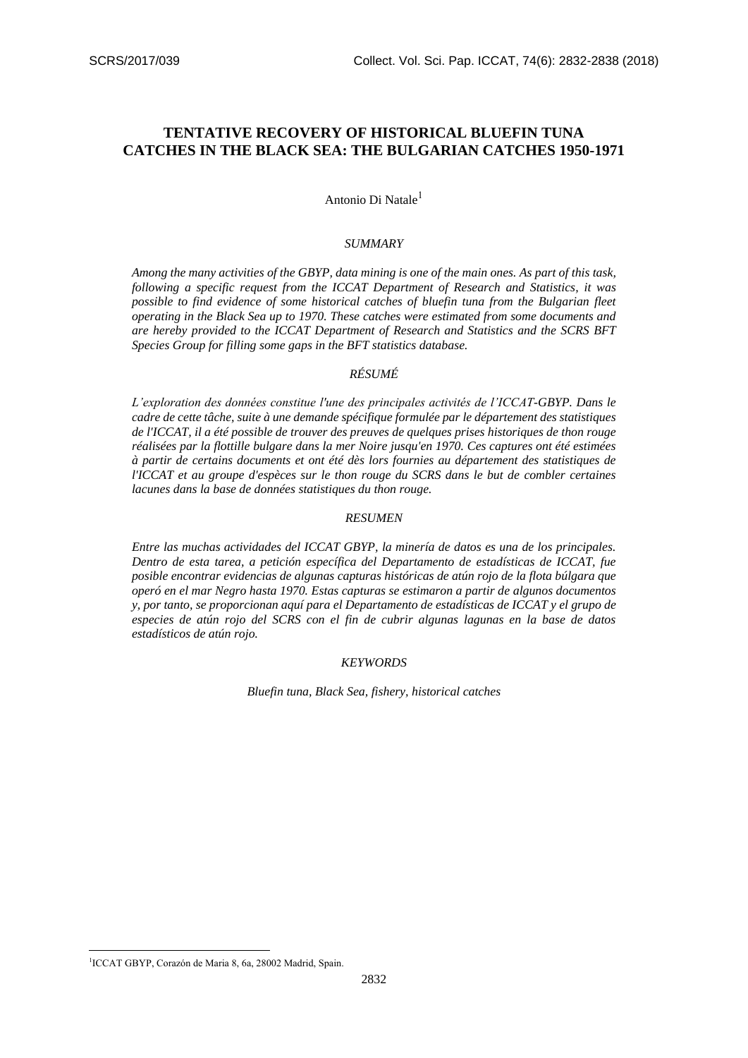# **TENTATIVE RECOVERY OF HISTORICAL BLUEFIN TUNA CATCHES IN THE BLACK SEA: THE BULGARIAN CATCHES 1950-1971**

Antonio Di Natale<sup>1</sup>

### *SUMMARY*

*Among the many activities of the GBYP, data mining is one of the main ones. As part of this task, following a specific request from the ICCAT Department of Research and Statistics, it was possible to find evidence of some historical catches of bluefin tuna from the Bulgarian fleet operating in the Black Sea up to 1970. These catches were estimated from some documents and are hereby provided to the ICCAT Department of Research and Statistics and the SCRS BFT Species Group for filling some gaps in the BFT statistics database.*

## *RÉSUMÉ*

*L'exploration des données constitue l'une des principales activités de l'ICCAT-GBYP. Dans le cadre de cette tâche, suite à une demande spécifique formulée par le département des statistiques de l'ICCAT, il a été possible de trouver des preuves de quelques prises historiques de thon rouge réalisées par la flottille bulgare dans la mer Noire jusqu'en 1970. Ces captures ont été estimées à partir de certains documents et ont été dès lors fournies au département des statistiques de l'ICCAT et au groupe d'espèces sur le thon rouge du SCRS dans le but de combler certaines lacunes dans la base de données statistiques du thon rouge.*

## *RESUMEN*

*Entre las muchas actividades del ICCAT GBYP, la minería de datos es una de los principales. Dentro de esta tarea, a petición específica del Departamento de estadísticas de ICCAT, fue posible encontrar evidencias de algunas capturas históricas de atún rojo de la flota búlgara que operó en el mar Negro hasta 1970. Estas capturas se estimaron a partir de algunos documentos y, por tanto, se proporcionan aquí para el Departamento de estadísticas de ICCAT y el grupo de especies de atún rojo del SCRS con el fin de cubrir algunas lagunas en la base de datos estadísticos de atún rojo.*

#### *KEYWORDS*

*Bluefin tuna, Black Sea, fishery, historical catches*

1

<sup>1</sup> ICCAT GBYP, Corazón de Maria 8, 6a, 28002 Madrid, Spain.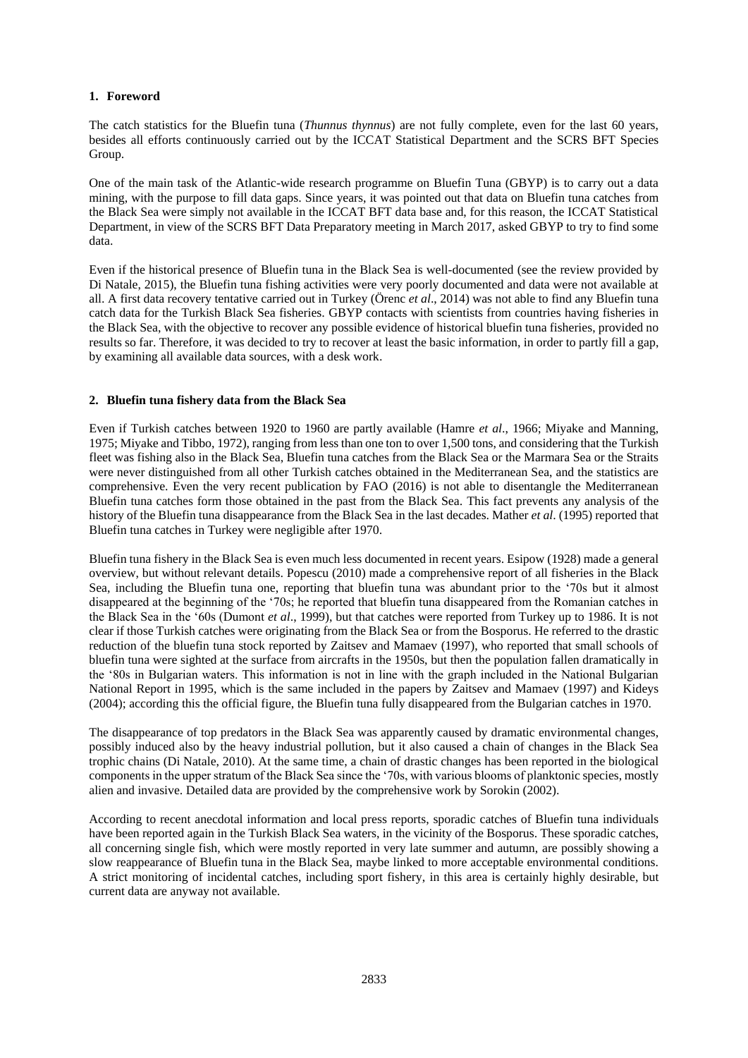## **1. Foreword**

The catch statistics for the Bluefin tuna (*Thunnus thynnus*) are not fully complete, even for the last 60 years, besides all efforts continuously carried out by the ICCAT Statistical Department and the SCRS BFT Species Group.

One of the main task of the Atlantic-wide research programme on Bluefin Tuna (GBYP) is to carry out a data mining, with the purpose to fill data gaps. Since years, it was pointed out that data on Bluefin tuna catches from the Black Sea were simply not available in the ICCAT BFT data base and, for this reason, the ICCAT Statistical Department, in view of the SCRS BFT Data Preparatory meeting in March 2017, asked GBYP to try to find some data.

Even if the historical presence of Bluefin tuna in the Black Sea is well-documented (see the review provided by Di Natale, 2015), the Bluefin tuna fishing activities were very poorly documented and data were not available at all. A first data recovery tentative carried out in Turkey (Örenc *et al*., 2014) was not able to find any Bluefin tuna catch data for the Turkish Black Sea fisheries. GBYP contacts with scientists from countries having fisheries in the Black Sea, with the objective to recover any possible evidence of historical bluefin tuna fisheries, provided no results so far. Therefore, it was decided to try to recover at least the basic information, in order to partly fill a gap, by examining all available data sources, with a desk work.

## **2. Bluefin tuna fishery data from the Black Sea**

Even if Turkish catches between 1920 to 1960 are partly available (Hamre *et al*., 1966; Miyake and Manning, 1975; Miyake and Tibbo, 1972), ranging from less than one ton to over 1,500 tons, and considering that the Turkish fleet was fishing also in the Black Sea, Bluefin tuna catches from the Black Sea or the Marmara Sea or the Straits were never distinguished from all other Turkish catches obtained in the Mediterranean Sea, and the statistics are comprehensive. Even the very recent publication by FAO (2016) is not able to disentangle the Mediterranean Bluefin tuna catches form those obtained in the past from the Black Sea. This fact prevents any analysis of the history of the Bluefin tuna disappearance from the Black Sea in the last decades. Mather *et al*. (1995) reported that Bluefin tuna catches in Turkey were negligible after 1970.

Bluefin tuna fishery in the Black Sea is even much less documented in recent years. Esipow (1928) made a general overview, but without relevant details. Popescu (2010) made a comprehensive report of all fisheries in the Black Sea, including the Bluefin tuna one, reporting that bluefin tuna was abundant prior to the '70s but it almost disappeared at the beginning of the '70s; he reported that bluefin tuna disappeared from the Romanian catches in the Black Sea in the '60s (Dumont *et al*., 1999), but that catches were reported from Turkey up to 1986. It is not clear if those Turkish catches were originating from the Black Sea or from the Bosporus. He referred to the drastic reduction of the bluefin tuna stock reported by Zaitsev and Mamaev (1997), who reported that small schools of bluefin tuna were sighted at the surface from aircrafts in the 1950s, but then the population fallen dramatically in the '80s in Bulgarian waters. This information is not in line with the graph included in the National Bulgarian National Report in 1995, which is the same included in the papers by Zaitsev and Mamaev (1997) and Kideys (2004); according this the official figure, the Bluefin tuna fully disappeared from the Bulgarian catches in 1970.

The disappearance of top predators in the Black Sea was apparently caused by dramatic environmental changes, possibly induced also by the heavy industrial pollution, but it also caused a chain of changes in the Black Sea trophic chains (Di Natale, 2010). At the same time, a chain of drastic changes has been reported in the biological components in the upper stratum of the Black Sea since the '70s, with various blooms of planktonic species, mostly alien and invasive. Detailed data are provided by the comprehensive work by Sorokin (2002).

According to recent anecdotal information and local press reports, sporadic catches of Bluefin tuna individuals have been reported again in the Turkish Black Sea waters, in the vicinity of the Bosporus. These sporadic catches, all concerning single fish, which were mostly reported in very late summer and autumn, are possibly showing a slow reappearance of Bluefin tuna in the Black Sea, maybe linked to more acceptable environmental conditions. A strict monitoring of incidental catches, including sport fishery, in this area is certainly highly desirable, but current data are anyway not available.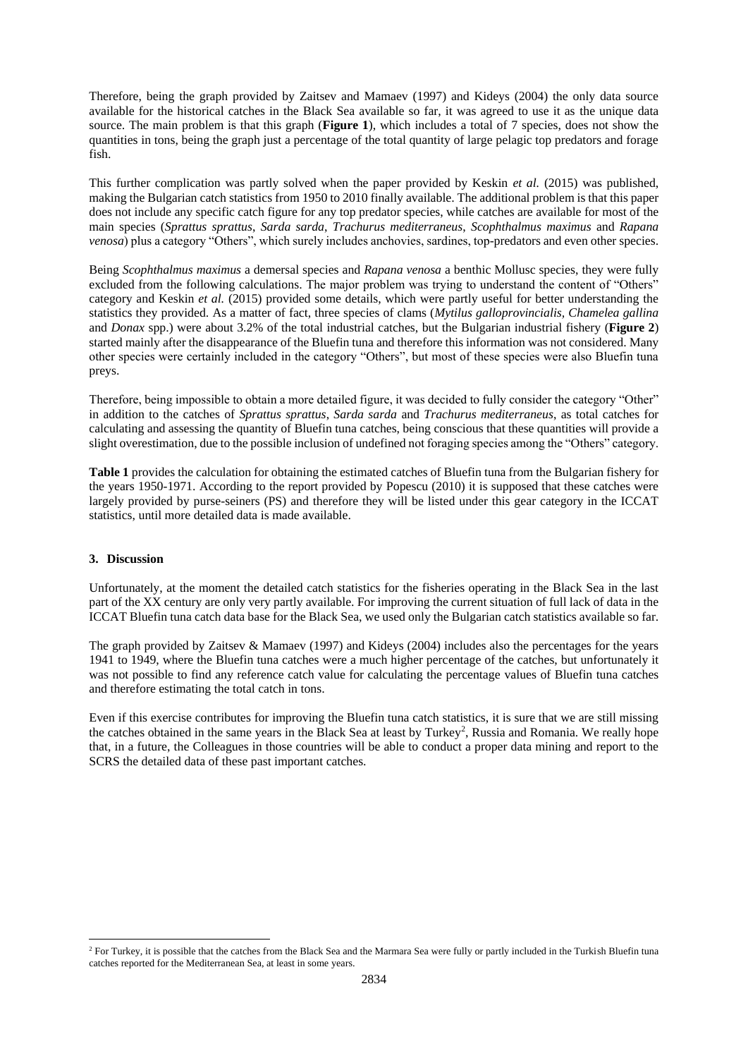Therefore, being the graph provided by Zaitsev and Mamaev (1997) and Kideys (2004) the only data source available for the historical catches in the Black Sea available so far, it was agreed to use it as the unique data source. The main problem is that this graph (**Figure 1**), which includes a total of 7 species, does not show the quantities in tons, being the graph just a percentage of the total quantity of large pelagic top predators and forage fish.

This further complication was partly solved when the paper provided by Keskin *et al.* (2015) was published, making the Bulgarian catch statistics from 1950 to 2010 finally available. The additional problem is that this paper does not include any specific catch figure for any top predator species, while catches are available for most of the main species (*Sprattus sprattus*, *Sarda sarda*, *Trachurus mediterraneus*, *Scophthalmus maximus* and *Rapana venosa*) plus a category "Others", which surely includes anchovies, sardines, top-predators and even other species.

Being *Scophthalmus maximus* a demersal species and *Rapana venosa* a benthic Mollusc species, they were fully excluded from the following calculations. The major problem was trying to understand the content of "Others" category and Keskin *et al.* (2015) provided some details, which were partly useful for better understanding the statistics they provided. As a matter of fact, three species of clams (*Mytilus galloprovincialis, Chamelea gallina*  and *Donax* spp.) were about 3.2% of the total industrial catches, but the Bulgarian industrial fishery (**Figure 2**) started mainly after the disappearance of the Bluefin tuna and therefore this information was not considered. Many other species were certainly included in the category "Others", but most of these species were also Bluefin tuna preys.

Therefore, being impossible to obtain a more detailed figure, it was decided to fully consider the category "Other" in addition to the catches of *Sprattus sprattus*, *Sarda sarda* and *Trachurus mediterraneus*, as total catches for calculating and assessing the quantity of Bluefin tuna catches, being conscious that these quantities will provide a slight overestimation, due to the possible inclusion of undefined not foraging species among the "Others" category.

**Table 1** provides the calculation for obtaining the estimated catches of Bluefin tuna from the Bulgarian fishery for the years 1950-1971. According to the report provided by Popescu (2010) it is supposed that these catches were largely provided by purse-seiners (PS) and therefore they will be listed under this gear category in the ICCAT statistics, until more detailed data is made available.

#### **3. Discussion**

1

Unfortunately, at the moment the detailed catch statistics for the fisheries operating in the Black Sea in the last part of the XX century are only very partly available. For improving the current situation of full lack of data in the ICCAT Bluefin tuna catch data base for the Black Sea, we used only the Bulgarian catch statistics available so far.

The graph provided by Zaitsev & Mamaev (1997) and Kideys (2004) includes also the percentages for the years 1941 to 1949, where the Bluefin tuna catches were a much higher percentage of the catches, but unfortunately it was not possible to find any reference catch value for calculating the percentage values of Bluefin tuna catches and therefore estimating the total catch in tons.

Even if this exercise contributes for improving the Bluefin tuna catch statistics, it is sure that we are still missing the catches obtained in the same years in the Black Sea at least by Turkey<sup>2</sup>, Russia and Romania. We really hope that, in a future, the Colleagues in those countries will be able to conduct a proper data mining and report to the SCRS the detailed data of these past important catches.

<sup>&</sup>lt;sup>2</sup> For Turkey, it is possible that the catches from the Black Sea and the Marmara Sea were fully or partly included in the Turkish Bluefin tuna catches reported for the Mediterranean Sea, at least in some years.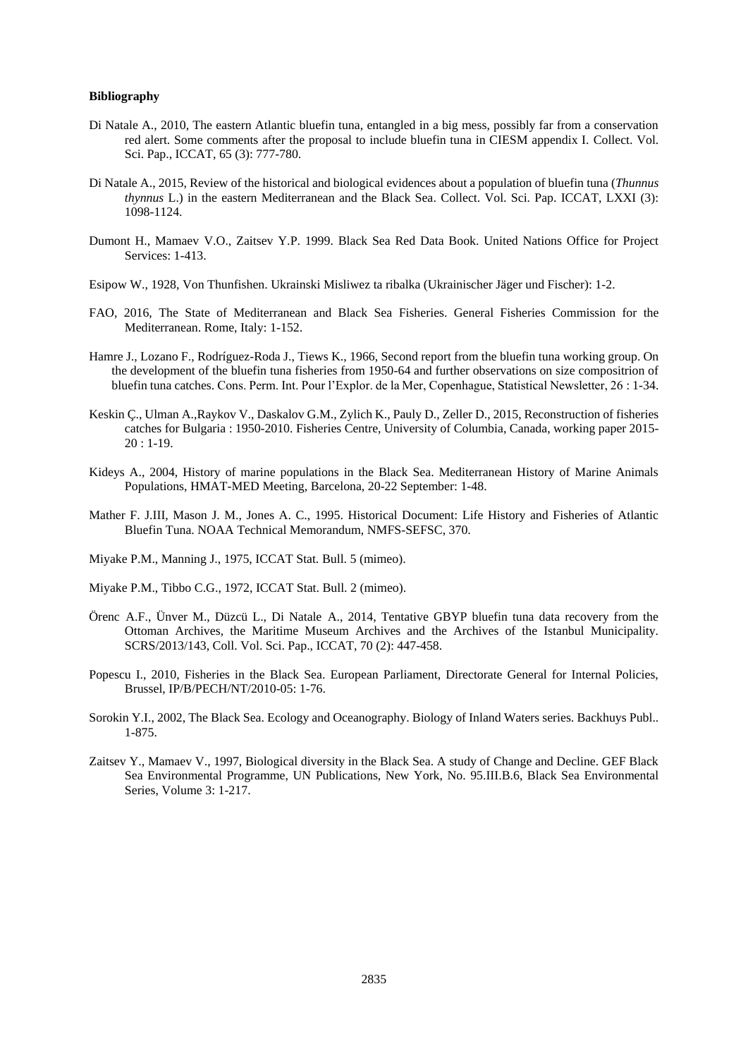#### **Bibliography**

- Di Natale A., 2010, The eastern Atlantic bluefin tuna, entangled in a big mess, possibly far from a conservation red alert. Some comments after the proposal to include bluefin tuna in CIESM appendix I. Collect. Vol. Sci. Pap., ICCAT, 65 (3): 777-780.
- Di Natale A., 2015, Review of the historical and biological evidences about a population of bluefin tuna (*Thunnus thynnus* L.) in the eastern Mediterranean and the Black Sea. Collect. Vol. Sci. Pap. ICCAT, LXXI (3): 1098-1124.
- Dumont H., Mamaev V.O., Zaitsev Y.P. 1999. Black Sea Red Data Book. United Nations Office for Project Services: 1-413.
- Esipow W., 1928, Von Thunfishen. Ukrainski Misliwez ta ribalka (Ukrainischer Jäger und Fischer): 1-2.
- FAO, 2016, The State of Mediterranean and Black Sea Fisheries. General Fisheries Commission for the Mediterranean. Rome, Italy: 1-152.
- Hamre J., Lozano F., Rodríguez-Roda J., Tiews K., 1966, Second report from the bluefin tuna working group. On the development of the bluefin tuna fisheries from 1950-64 and further observations on size compositrion of bluefin tuna catches. Cons. Perm. Int. Pour l'Explor. de la Mer, Copenhague, Statistical Newsletter, 26 : 1-34.
- Keskin Ç., Ulman A.,Raykov V., Daskalov G.M., Zylich K., Pauly D., Zeller D., 2015, Reconstruction of fisheries catches for Bulgaria : 1950-2010. Fisheries Centre, University of Columbia, Canada, working paper 2015- 20 : 1-19.
- Kideys A., 2004, History of marine populations in the Black Sea. Mediterranean History of Marine Animals Populations, HMAT-MED Meeting, Barcelona, 20-22 September: 1-48.
- Mather F. J.III, Mason J. M., Jones A. C., 1995. Historical Document: Life History and Fisheries of Atlantic Bluefin Tuna. NOAA Technical Memorandum, NMFS-SEFSC, 370.
- Miyake P.M., Manning J., 1975, ICCAT Stat. Bull. 5 (mimeo).

Miyake P.M., Tibbo C.G., 1972, ICCAT Stat. Bull. 2 (mimeo).

- Örenc A.F., Ünver M., Düzcü L., Di Natale A., 2014, Tentative GBYP bluefin tuna data recovery from the Ottoman Archives, the Maritime Museum Archives and the Archives of the Istanbul Municipality. SCRS/2013/143, Coll. Vol. Sci. Pap., ICCAT, 70 (2): 447-458.
- Popescu I., 2010, Fisheries in the Black Sea. European Parliament, Directorate General for Internal Policies, Brussel, IP/B/PECH/NT/2010-05: 1-76.
- Sorokin Y.I., 2002, The Black Sea. Ecology and Oceanography. Biology of Inland Waters series. Backhuys Publ.. 1-875.
- Zaitsev Y., Mamaev V., 1997, Biological diversity in the Black Sea. A study of Change and Decline. GEF Black Sea Environmental Programme, UN Publications, New York, No. 95.III.B.6, Black Sea Environmental Series, Volume 3: 1-217.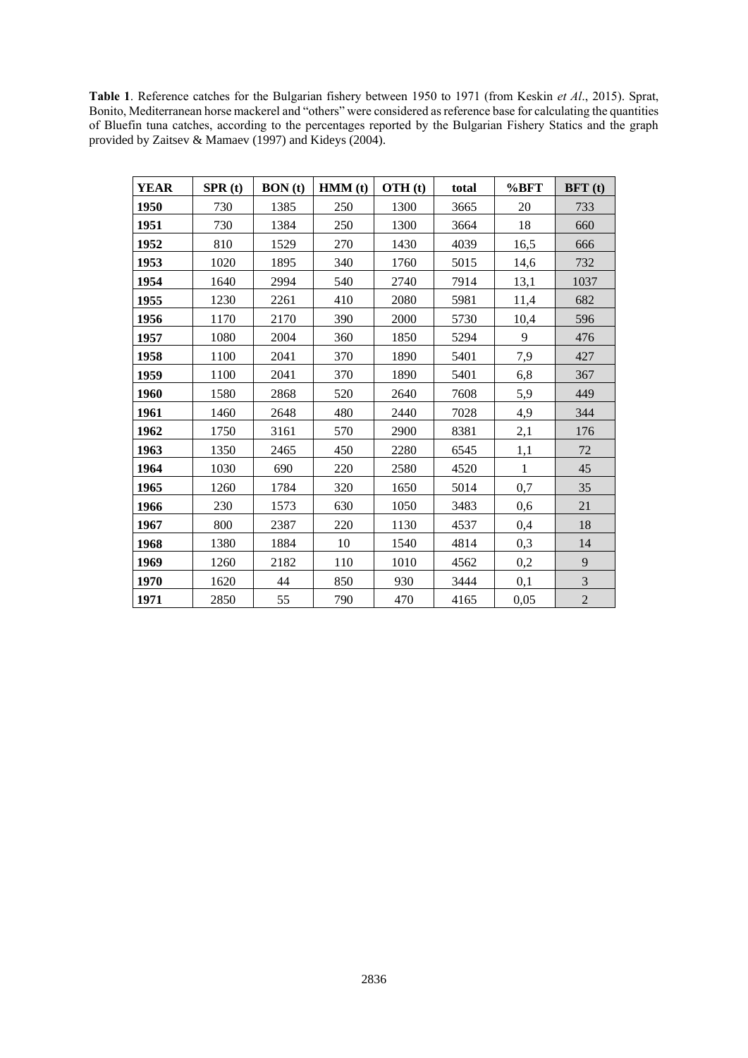**Table 1**. Reference catches for the Bulgarian fishery between 1950 to 1971 (from Keskin *et Al*., 2015). Sprat, Bonito, Mediterranean horse mackerel and "others" were considered as reference base for calculating the quantities of Bluefin tuna catches, according to the percentages reported by the Bulgarian Fishery Statics and the graph provided by Zaitsev & Mamaev (1997) and Kideys (2004).

| <b>YEAR</b> | SPR(t) | <b>BON</b> (t) | HMM(t) | OTH(t) | total | %BFT         | BFT(t)           |
|-------------|--------|----------------|--------|--------|-------|--------------|------------------|
| 1950        | 730    | 1385           | 250    | 1300   | 3665  | 20           | 733              |
| 1951        | 730    | 1384           | 250    | 1300   | 3664  | 18           | 660              |
| 1952        | 810    | 1529           | 270    | 1430   | 4039  | 16,5         | 666              |
| 1953        | 1020   | 1895           | 340    | 1760   | 5015  | 14,6         | 732              |
| 1954        | 1640   | 2994           | 540    | 2740   | 7914  | 13,1         | 1037             |
| 1955        | 1230   | 2261           | 410    | 2080   | 5981  | 11,4         | 682              |
| 1956        | 1170   | 2170           | 390    | 2000   | 5730  | 10,4         | 596              |
| 1957        | 1080   | 2004           | 360    | 1850   | 5294  | 9            | 476              |
| 1958        | 1100   | 2041           | 370    | 1890   | 5401  | 7,9          | 427              |
| 1959        | 1100   | 2041           | 370    | 1890   | 5401  | 6,8          | 367              |
| 1960        | 1580   | 2868           | 520    | 2640   | 7608  | 5,9          | 449              |
| 1961        | 1460   | 2648           | 480    | 2440   | 7028  | 4,9          | 344              |
| 1962        | 1750   | 3161           | 570    | 2900   | 8381  | 2,1          | 176              |
| 1963        | 1350   | 2465           | 450    | 2280   | 6545  | 1,1          | 72               |
| 1964        | 1030   | 690            | 220    | 2580   | 4520  | $\mathbf{1}$ | 45               |
| 1965        | 1260   | 1784           | 320    | 1650   | 5014  | 0,7          | 35               |
| 1966        | 230    | 1573           | 630    | 1050   | 3483  | 0,6          | 21               |
| 1967        | 800    | 2387           | 220    | 1130   | 4537  | 0,4          | 18               |
| 1968        | 1380   | 1884           | 10     | 1540   | 4814  | 0,3          | 14               |
| 1969        | 1260   | 2182           | 110    | 1010   | 4562  | 0,2          | $\overline{9}$   |
| 1970        | 1620   | 44             | 850    | 930    | 3444  | 0,1          | $\mathfrak 3$    |
| 1971        | 2850   | 55             | 790    | 470    | 4165  | 0,05         | $\boldsymbol{2}$ |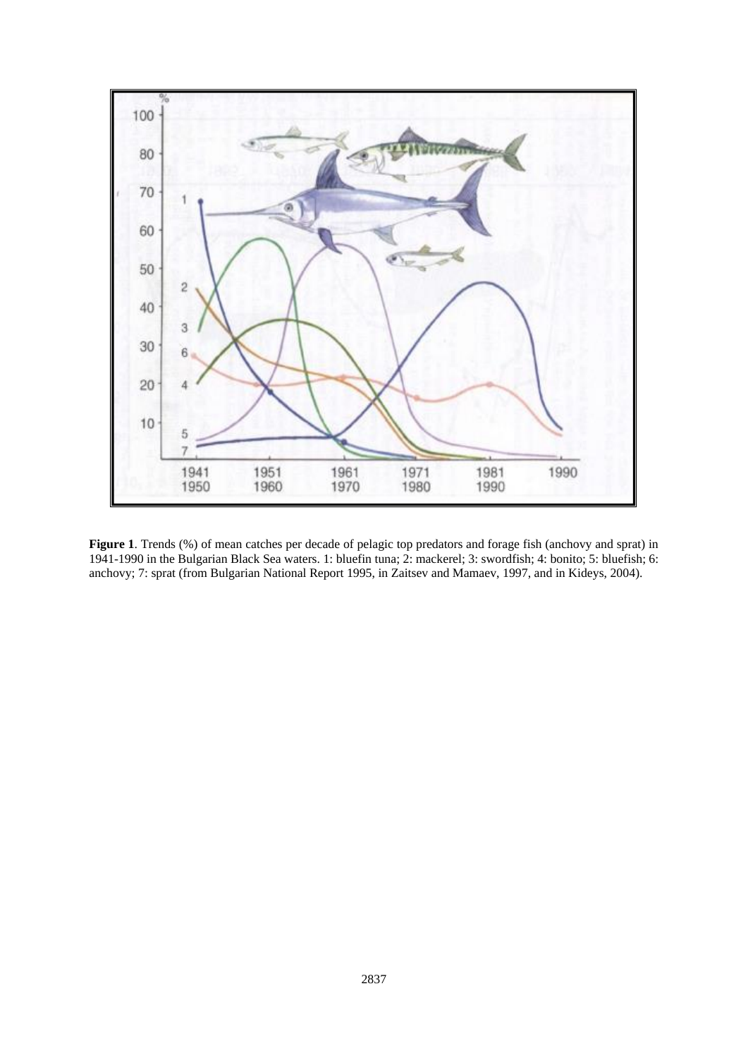

**Figure 1**. Trends (%) of mean catches per decade of pelagic top predators and forage fish (anchovy and sprat) in 1941-1990 in the Bulgarian Black Sea waters. 1: bluefin tuna; 2: mackerel; 3: swordfish; 4: bonito; 5: bluefish; 6: anchovy; 7: sprat (from Bulgarian National Report 1995, in Zaitsev and Mamaev, 1997, and in Kideys, 2004).